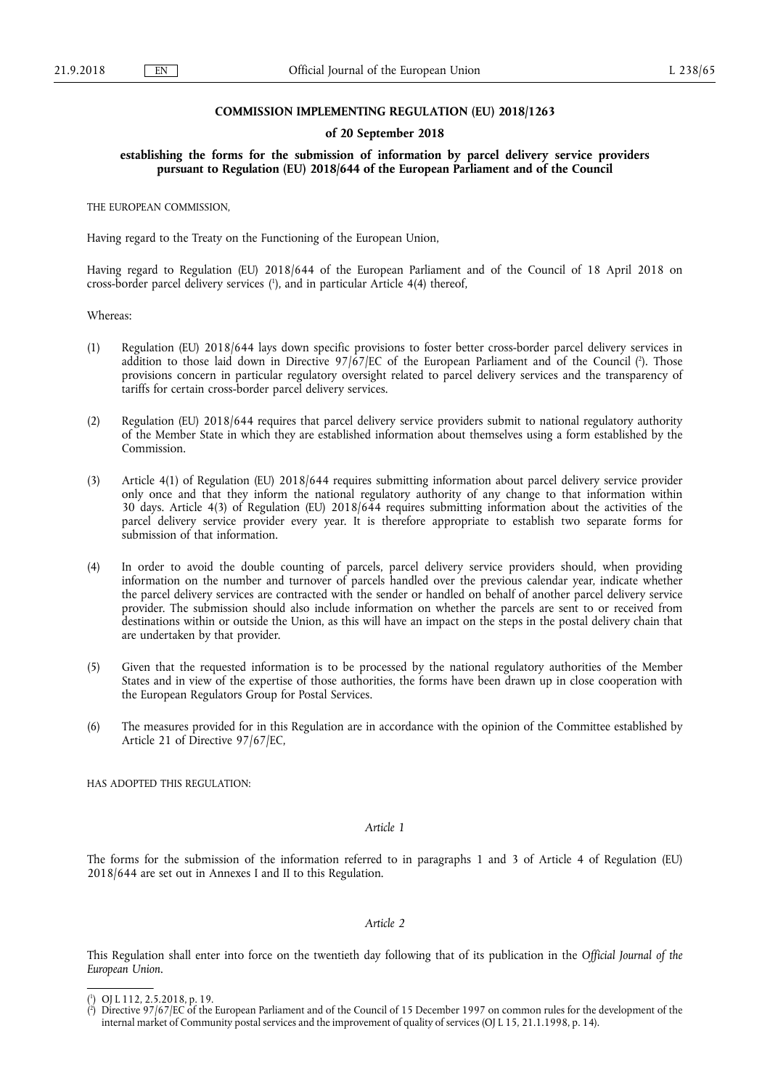### **COMMISSION IMPLEMENTING REGULATION (EU) 2018/1263**

#### **of 20 September 2018**

**establishing the forms for the submission of information by parcel delivery service providers pursuant to Regulation (EU) 2018/644 of the European Parliament and of the Council** 

THE EUROPEAN COMMISSION,

Having regard to the Treaty on the Functioning of the European Union,

Having regard to Regulation (EU) 2018/644 of the European Parliament and of the Council of 18 April 2018 on cross-border parcel delivery services ( 1 ), and in particular Article 4(4) thereof,

Whereas:

- (1) Regulation (EU) 2018/644 lays down specific provisions to foster better cross-border parcel delivery services in addition to those laid down in Directive 97/67/EC of the European Parliament and of the Council ( 2 ). Those provisions concern in particular regulatory oversight related to parcel delivery services and the transparency of tariffs for certain cross-border parcel delivery services.
- (2) Regulation (EU) 2018/644 requires that parcel delivery service providers submit to national regulatory authority of the Member State in which they are established information about themselves using a form established by the Commission.
- (3) Article 4(1) of Regulation (EU) 2018/644 requires submitting information about parcel delivery service provider only once and that they inform the national regulatory authority of any change to that information within 30 days. Article 4(3) of Regulation (EU) 2018/644 requires submitting information about the activities of the parcel delivery service provider every year. It is therefore appropriate to establish two separate forms for submission of that information.
- (4) In order to avoid the double counting of parcels, parcel delivery service providers should, when providing information on the number and turnover of parcels handled over the previous calendar year, indicate whether the parcel delivery services are contracted with the sender or handled on behalf of another parcel delivery service provider. The submission should also include information on whether the parcels are sent to or received from destinations within or outside the Union, as this will have an impact on the steps in the postal delivery chain that are undertaken by that provider.
- (5) Given that the requested information is to be processed by the national regulatory authorities of the Member States and in view of the expertise of those authorities, the forms have been drawn up in close cooperation with the European Regulators Group for Postal Services.
- (6) The measures provided for in this Regulation are in accordance with the opinion of the Committee established by Article 21 of Directive 97/67/EC,

HAS ADOPTED THIS REGULATION:

*Article 1* 

The forms for the submission of the information referred to in paragraphs 1 and 3 of Article 4 of Regulation (EU) 2018/644 are set out in Annexes I and II to this Regulation.

#### *Article 2*

This Regulation shall enter into force on the twentieth day following that of its publication in the *Official Journal of the European Union*.

<sup>(</sup> 1 ) OJ L 112, 2.5.2018, p. 19.

<sup>(</sup> 2 ) Directive 97/67/EC of the European Parliament and of the Council of 15 December 1997 on common rules for the development of the internal market of Community postal services and the improvement of quality of services (OJ L 15, 21.1.1998, p. 14).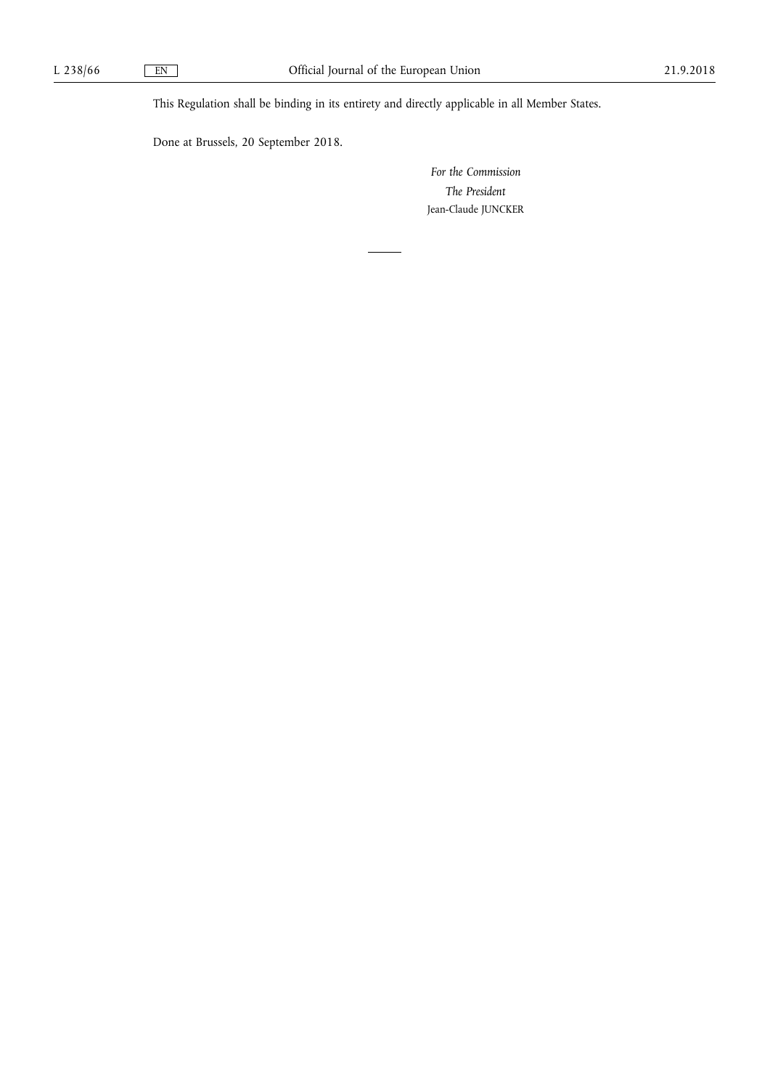This Regulation shall be binding in its entirety and directly applicable in all Member States.

Done at Brussels, 20 September 2018.

*For the Commission The President*  Jean-Claude JUNCKER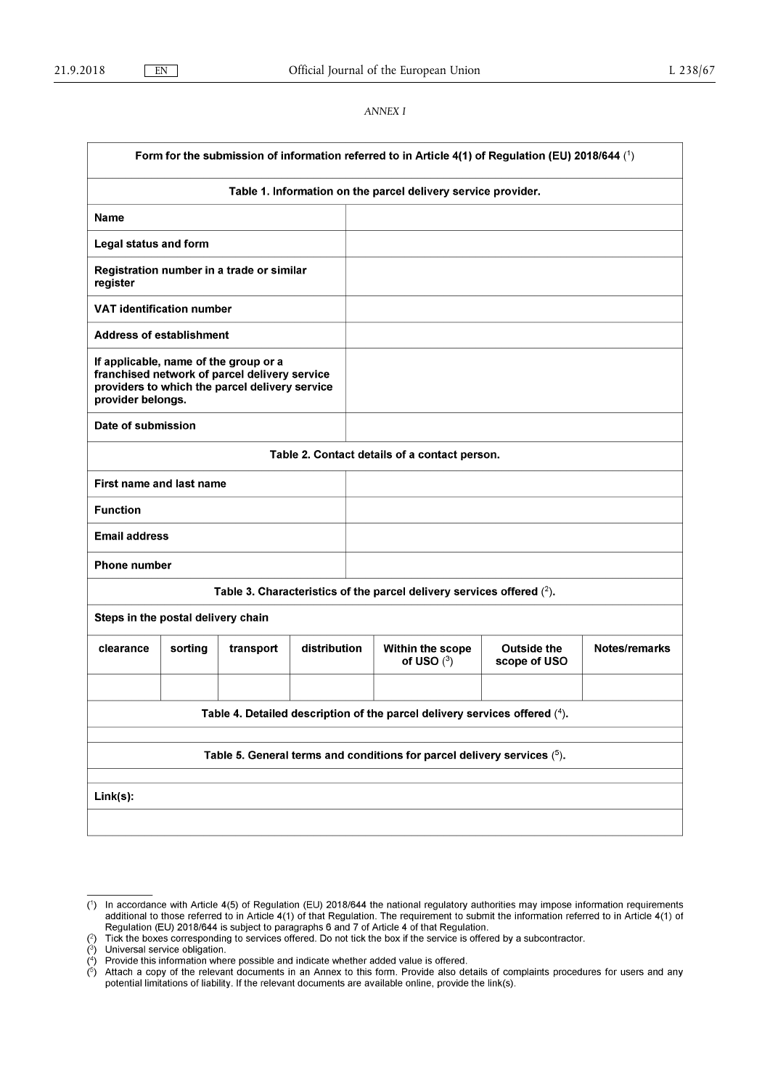## *ANNEX I*

| Form for the submission of information referred to in Article 4(1) of Regulation (EU) 2018/644 (1) |                                                                                                                                                               |                                           |              |                                                               |                                    |               |
|----------------------------------------------------------------------------------------------------|---------------------------------------------------------------------------------------------------------------------------------------------------------------|-------------------------------------------|--------------|---------------------------------------------------------------|------------------------------------|---------------|
|                                                                                                    |                                                                                                                                                               |                                           |              | Table 1. Information on the parcel delivery service provider. |                                    |               |
| <b>Name</b>                                                                                        |                                                                                                                                                               |                                           |              |                                                               |                                    |               |
| <b>Legal status and form</b>                                                                       |                                                                                                                                                               |                                           |              |                                                               |                                    |               |
| register                                                                                           |                                                                                                                                                               | Registration number in a trade or similar |              |                                                               |                                    |               |
| <b>VAT identification number</b>                                                                   |                                                                                                                                                               |                                           |              |                                                               |                                    |               |
| <b>Address of establishment</b>                                                                    |                                                                                                                                                               |                                           |              |                                                               |                                    |               |
|                                                                                                    | If applicable, name of the group or a<br>franchised network of parcel delivery service<br>providers to which the parcel delivery service<br>provider belongs. |                                           |              |                                                               |                                    |               |
| Date of submission                                                                                 |                                                                                                                                                               |                                           |              |                                                               |                                    |               |
|                                                                                                    |                                                                                                                                                               |                                           |              | Table 2. Contact details of a contact person.                 |                                    |               |
| First name and last name                                                                           |                                                                                                                                                               |                                           |              |                                                               |                                    |               |
| <b>Function</b>                                                                                    |                                                                                                                                                               |                                           |              |                                                               |                                    |               |
| <b>Email address</b>                                                                               |                                                                                                                                                               |                                           |              |                                                               |                                    |               |
| <b>Phone number</b>                                                                                |                                                                                                                                                               |                                           |              |                                                               |                                    |               |
| Table 3. Characteristics of the parcel delivery services offered $(^2)$ .                          |                                                                                                                                                               |                                           |              |                                                               |                                    |               |
|                                                                                                    | Steps in the postal delivery chain                                                                                                                            |                                           |              |                                                               |                                    |               |
| clearance                                                                                          | sorting                                                                                                                                                       | transport                                 | distribution | Within the scope<br>of USO $(^3)$                             | <b>Outside the</b><br>scope of USO | Notes/remarks |
|                                                                                                    |                                                                                                                                                               |                                           |              |                                                               |                                    |               |
| Table 4. Detailed description of the parcel delivery services offered (4).                         |                                                                                                                                                               |                                           |              |                                                               |                                    |               |
|                                                                                                    |                                                                                                                                                               |                                           |              |                                                               |                                    |               |
| Table 5. General terms and conditions for parcel delivery services $(5)$ .                         |                                                                                                                                                               |                                           |              |                                                               |                                    |               |
| Link(s):                                                                                           |                                                                                                                                                               |                                           |              |                                                               |                                    |               |
|                                                                                                    |                                                                                                                                                               |                                           |              |                                                               |                                    |               |

<sup>(1)</sup> In accordance with Article 4(5) of Regulation (EU) 2018/644 the national regulatory authorities may impose information requirements additional to those referred to in Article 4(1) of that Regulation. The requirement t

 $\binom{2}{3}$ <br> $\binom{4}{7}$ <br> $\binom{5}{7}$ Driversial service obiligation.<br>Provide this information where possible and indicate whether added value is offered.<br>Attach a copy of the relevant documents in an Annex to this form. Provide also details of complaints proc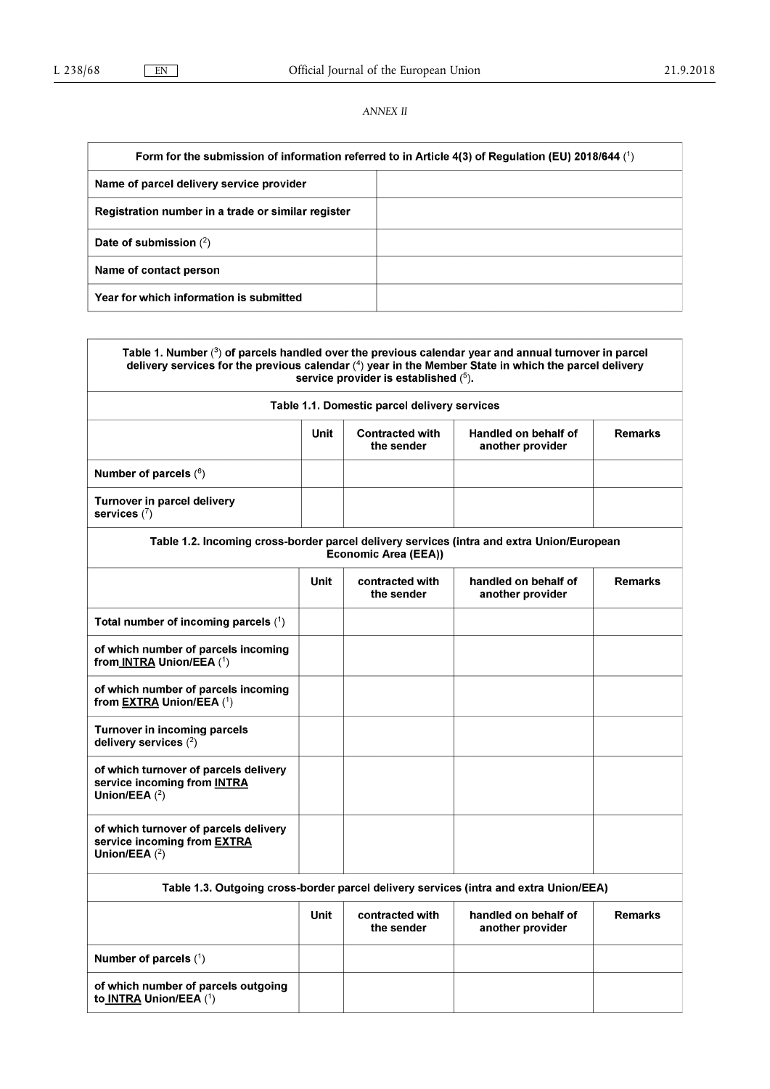# *ANNEX II*

| Form for the submission of information referred to in Article 4(3) of Regulation (EU) 2018/644 (1) |  |  |  |
|----------------------------------------------------------------------------------------------------|--|--|--|
| Name of parcel delivery service provider                                                           |  |  |  |
| Registration number in a trade or similar register                                                 |  |  |  |
| Date of submission $(2)$                                                                           |  |  |  |
| Name of contact person                                                                             |  |  |  |
| Year for which information is submitted                                                            |  |  |  |

| Table 1. Number $(3)$ of parcels handled over the previous calendar year and annual turnover in parcel<br>delivery services for the previous calendar (4) year in the Member State in which the parcel delivery<br>service provider is established (5). |      |                                              |                                          |                |
|---------------------------------------------------------------------------------------------------------------------------------------------------------------------------------------------------------------------------------------------------------|------|----------------------------------------------|------------------------------------------|----------------|
|                                                                                                                                                                                                                                                         |      | Table 1.1. Domestic parcel delivery services |                                          |                |
|                                                                                                                                                                                                                                                         | Unit | <b>Contracted with</b><br>the sender         | Handled on behalf of<br>another provider | <b>Remarks</b> |
| Number of parcels $(^6)$                                                                                                                                                                                                                                |      |                                              |                                          |                |
| <b>Turnover in parcel delivery</b><br>services $(7)$                                                                                                                                                                                                    |      |                                              |                                          |                |
| Table 1.2. Incoming cross-border parcel delivery services (intra and extra Union/European                                                                                                                                                               |      | <b>Economic Area (EEA))</b>                  |                                          |                |
|                                                                                                                                                                                                                                                         | Unit | contracted with<br>the sender                | handled on behalf of<br>another provider | <b>Remarks</b> |
| Total number of incoming parcels $(1)$                                                                                                                                                                                                                  |      |                                              |                                          |                |
| of which number of parcels incoming<br>from INTRA Union/EEA (1)                                                                                                                                                                                         |      |                                              |                                          |                |
| of which number of parcels incoming<br>from <b>EXTRA Union/EEA</b> (1)                                                                                                                                                                                  |      |                                              |                                          |                |
| <b>Turnover in incoming parcels</b><br>delivery services $(2)$                                                                                                                                                                                          |      |                                              |                                          |                |
| of which turnover of parcels delivery<br>service incoming from INTRA<br>Union/EEA $(2)$                                                                                                                                                                 |      |                                              |                                          |                |
| of which turnover of parcels delivery<br>service incoming from <b>EXTRA</b><br>Union/EEA $(2)$                                                                                                                                                          |      |                                              |                                          |                |
| Table 1.3. Outgoing cross-border parcel delivery services (intra and extra Union/EEA)                                                                                                                                                                   |      |                                              |                                          |                |
|                                                                                                                                                                                                                                                         | Unit | contracted with<br>the sender                | handled on behalf of<br>another provider | <b>Remarks</b> |
| Number of parcels $(1)$                                                                                                                                                                                                                                 |      |                                              |                                          |                |
| of which number of parcels outgoing<br>to INTRA Union/EEA (1)                                                                                                                                                                                           |      |                                              |                                          |                |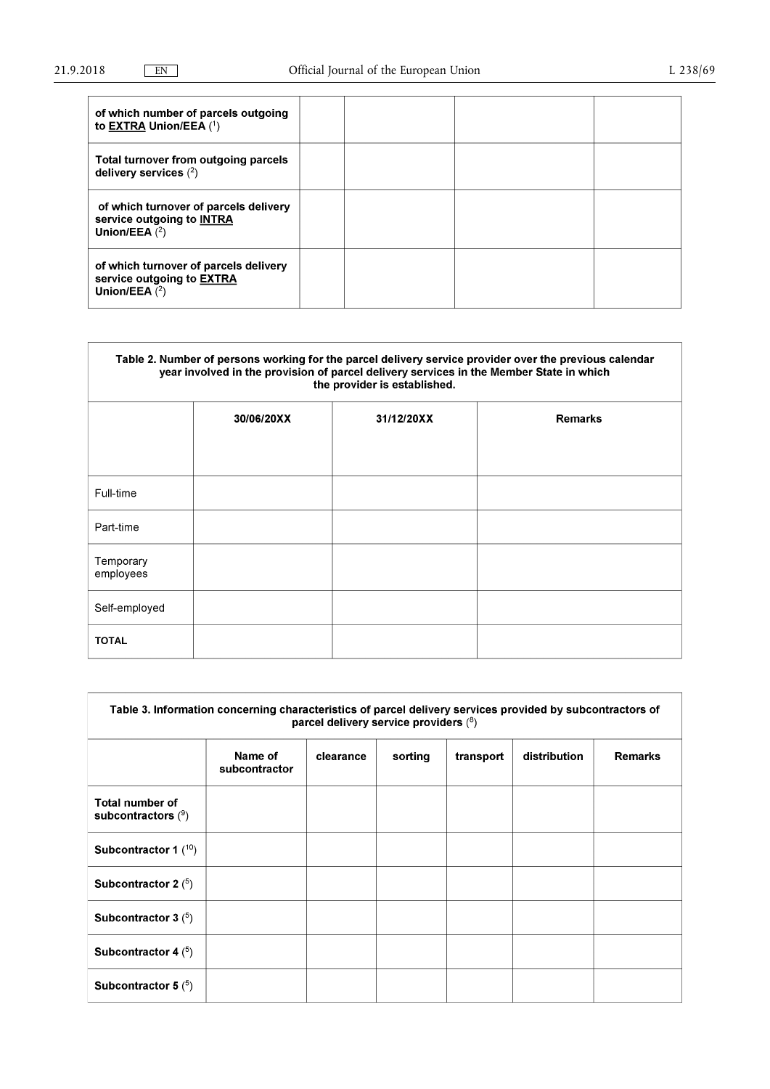| of which number of parcels outgoing<br>to <b>EXTRA Union/EEA</b> $(1)$                |  |  |
|---------------------------------------------------------------------------------------|--|--|
| Total turnover from outgoing parcels<br>delivery services $(2)$                       |  |  |
| of which turnover of parcels delivery<br>service outgoing to INTRA<br>Union/EEA $(2)$ |  |  |
| of which turnover of parcels delivery<br>service outgoing to EXTRA<br>Union/EEA $(2)$ |  |  |

| Table 2. Number of persons working for the parcel delivery service provider over the previous calendar<br>year involved in the provision of parcel delivery services in the Member State in which<br>the provider is established. |            |            |                |  |
|-----------------------------------------------------------------------------------------------------------------------------------------------------------------------------------------------------------------------------------|------------|------------|----------------|--|
|                                                                                                                                                                                                                                   | 30/06/20XX | 31/12/20XX | <b>Remarks</b> |  |
|                                                                                                                                                                                                                                   |            |            |                |  |
| Full-time                                                                                                                                                                                                                         |            |            |                |  |
| Part-time                                                                                                                                                                                                                         |            |            |                |  |
| Temporary<br>employees                                                                                                                                                                                                            |            |            |                |  |
| Self-employed                                                                                                                                                                                                                     |            |            |                |  |
| <b>TOTAL</b>                                                                                                                                                                                                                      |            |            |                |  |

| Table 3. Information concerning characteristics of parcel delivery services provided by subcontractors of<br>parcel delivery service providers (8) |                          |           |         |           |              |                |
|----------------------------------------------------------------------------------------------------------------------------------------------------|--------------------------|-----------|---------|-----------|--------------|----------------|
|                                                                                                                                                    | Name of<br>subcontractor | clearance | sorting | transport | distribution | <b>Remarks</b> |
| <b>Total number of</b><br>subcontractors $(9)$                                                                                                     |                          |           |         |           |              |                |
| Subcontractor 1 $(10)$                                                                                                                             |                          |           |         |           |              |                |
| Subcontractor 2 $(5)$                                                                                                                              |                          |           |         |           |              |                |
| Subcontractor 3 $(5)$                                                                                                                              |                          |           |         |           |              |                |
| Subcontractor 4 $(5)$                                                                                                                              |                          |           |         |           |              |                |
| Subcontractor 5 $(5)$                                                                                                                              |                          |           |         |           |              |                |